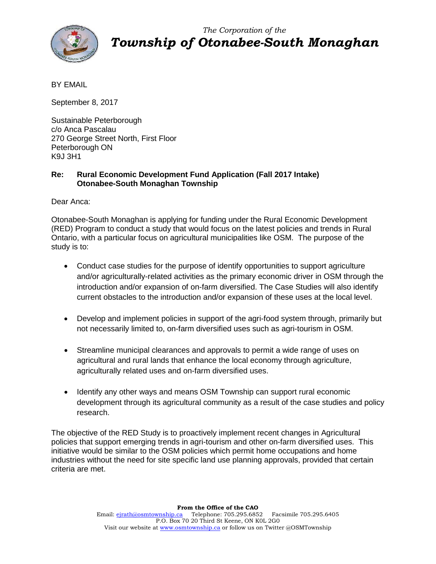

*The Corporation of the Township of Otonabee-South Monaghan*

BY EMAIL

September 8, 2017

Sustainable Peterborough c/o Anca Pascalau 270 George Street North, First Floor Peterborough ON K9J 3H1

## **Re: Rural Economic Development Fund Application (Fall 2017 Intake) Otonabee-South Monaghan Township**

Dear Anca:

Otonabee-South Monaghan is applying for funding under the Rural Economic Development (RED) Program to conduct a study that would focus on the latest policies and trends in Rural Ontario, with a particular focus on agricultural municipalities like OSM. The purpose of the study is to:

- Conduct case studies for the purpose of identify opportunities to support agriculture and/or agriculturally-related activities as the primary economic driver in OSM through the introduction and/or expansion of on-farm diversified. The Case Studies will also identify current obstacles to the introduction and/or expansion of these uses at the local level.
- Develop and implement policies in support of the agri-food system through, primarily but not necessarily limited to, on-farm diversified uses such as agri-tourism in OSM.
- Streamline municipal clearances and approvals to permit a wide range of uses on agricultural and rural lands that enhance the local economy through agriculture, agriculturally related uses and on-farm diversified uses.
- Identify any other ways and means OSM Township can support rural economic development through its agricultural community as a result of the case studies and policy research.

The objective of the RED Study is to proactively implement recent changes in Agricultural policies that support emerging trends in agri-tourism and other on-farm diversified uses. This initiative would be similar to the OSM policies which permit home occupations and home industries without the need for site specific land use planning approvals, provided that certain criteria are met.